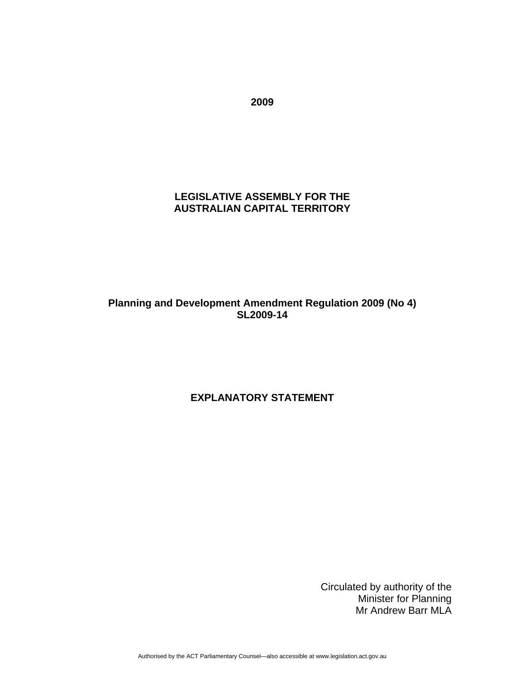# **LEGISLATIVE ASSEMBLY FOR THE AUSTRALIAN CAPITAL TERRITORY**

# **Planning and Development Amendment Regulation 2009 (No 4) SL2009-14**

# **EXPLANATORY STATEMENT**

Circulated by authority of the Minister for Planning Mr Andrew Barr MLA

Authorised by the ACT Parliamentary Counsel—also accessible at www.legislation.act.gov.au

**2009**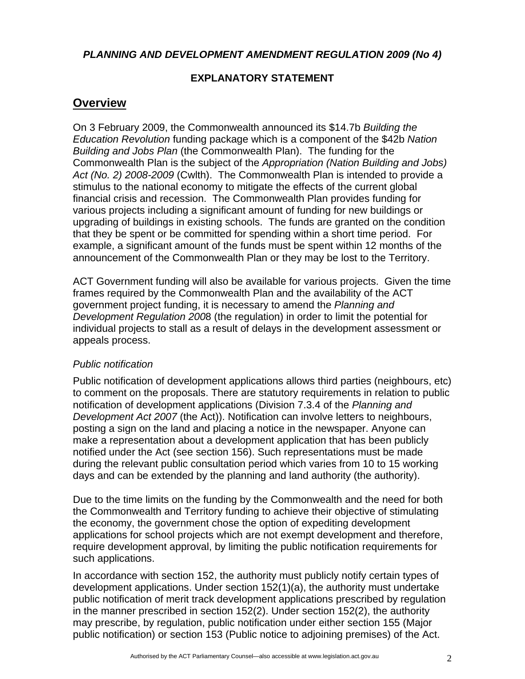*PLANNING AND DEVELOPMENT AMENDMENT REGULATION 2009 (No 4)* 

# **EXPLANATORY STATEMENT**

# **Overview**

On 3 February 2009, the Commonwealth announced its \$14.7b *Building the Education Revolution* funding package which is a component of the \$42b *Nation Building and Jobs Plan* (the Commonwealth Plan). The funding for the Commonwealth Plan is the subject of the *Appropriation (Nation Building and Jobs) Act (No. 2) 2008-2009* (Cwlth). The Commonwealth Plan is intended to provide a stimulus to the national economy to mitigate the effects of the current global financial crisis and recession. The Commonwealth Plan provides funding for various projects including a significant amount of funding for new buildings or upgrading of buildings in existing schools. The funds are granted on the condition that they be spent or be committed for spending within a short time period. For example, a significant amount of the funds must be spent within 12 months of the announcement of the Commonwealth Plan or they may be lost to the Territory.

ACT Government funding will also be available for various projects. Given the time frames required by the Commonwealth Plan and the availability of the ACT government project funding, it is necessary to amend the *Planning and Development Regulation 200*8 (the regulation) in order to limit the potential for individual projects to stall as a result of delays in the development assessment or appeals process.

### *Public notification*

Public notification of development applications allows third parties (neighbours, etc) to comment on the proposals. There are statutory requirements in relation to public notification of development applications (Division 7.3.4 of the *Planning and Development Act 2007* (the Act)). Notification can involve letters to neighbours, posting a sign on the land and placing a notice in the newspaper. Anyone can make a representation about a development application that has been publicly notified under the Act (see section 156). Such representations must be made during the relevant public consultation period which varies from 10 to 15 working days and can be extended by the planning and land authority (the authority).

Due to the time limits on the funding by the Commonwealth and the need for both the Commonwealth and Territory funding to achieve their objective of stimulating the economy, the government chose the option of expediting development applications for school projects which are not exempt development and therefore, require development approval, by limiting the public notification requirements for such applications.

In accordance with section 152, the authority must publicly notify certain types of development applications. Under section 152(1)(a), the authority must undertake public notification of merit track development applications prescribed by regulation in the manner prescribed in section 152(2). Under section 152(2), the authority may prescribe, by regulation, public notification under either section 155 (Major public notification) or section 153 (Public notice to adjoining premises) of the Act.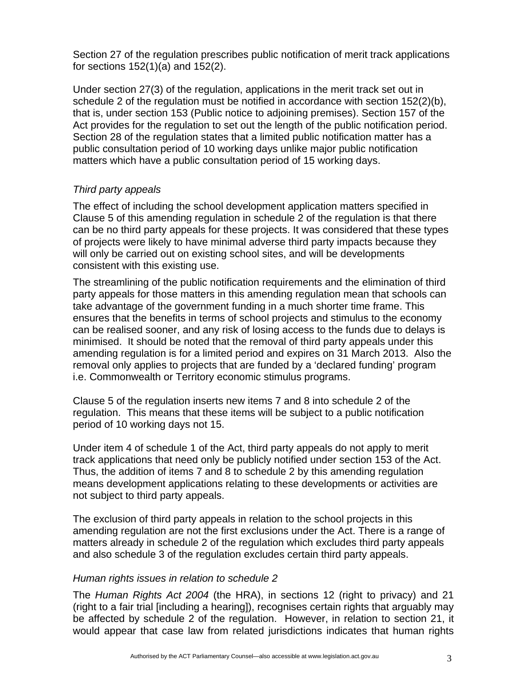Section 27 of the regulation prescribes public notification of merit track applications for sections 152(1)(a) and 152(2).

Under section 27(3) of the regulation, applications in the merit track set out in schedule 2 of the regulation must be notified in accordance with section 152(2)(b), that is, under section 153 (Public notice to adjoining premises). Section 157 of the Act provides for the regulation to set out the length of the public notification period. Section 28 of the regulation states that a limited public notification matter has a public consultation period of 10 working days unlike major public notification matters which have a public consultation period of 15 working days.

### *Third party appeals*

The effect of including the school development application matters specified in Clause 5 of this amending regulation in schedule 2 of the regulation is that there can be no third party appeals for these projects. It was considered that these types of projects were likely to have minimal adverse third party impacts because they will only be carried out on existing school sites, and will be developments consistent with this existing use.

The streamlining of the public notification requirements and the elimination of third party appeals for those matters in this amending regulation mean that schools can take advantage of the government funding in a much shorter time frame. This ensures that the benefits in terms of school projects and stimulus to the economy can be realised sooner, and any risk of losing access to the funds due to delays is minimised. It should be noted that the removal of third party appeals under this amending regulation is for a limited period and expires on 31 March 2013. Also the removal only applies to projects that are funded by a 'declared funding' program i.e. Commonwealth or Territory economic stimulus programs.

Clause 5 of the regulation inserts new items 7 and 8 into schedule 2 of the regulation. This means that these items will be subject to a public notification period of 10 working days not 15.

Under item 4 of schedule 1 of the Act, third party appeals do not apply to merit track applications that need only be publicly notified under section 153 of the Act. Thus, the addition of items 7 and 8 to schedule 2 by this amending regulation means development applications relating to these developments or activities are not subject to third party appeals.

The exclusion of third party appeals in relation to the school projects in this amending regulation are not the first exclusions under the Act. There is a range of matters already in schedule 2 of the regulation which excludes third party appeals and also schedule 3 of the regulation excludes certain third party appeals.

### *Human rights issues in relation to schedule 2*

The *Human Rights Act 2004* (the HRA), in sections 12 (right to privacy) and 21 (right to a fair trial [including a hearing]), recognises certain rights that arguably may be affected by schedule 2 of the regulation. However, in relation to section 21, it would appear that case law from related jurisdictions indicates that human rights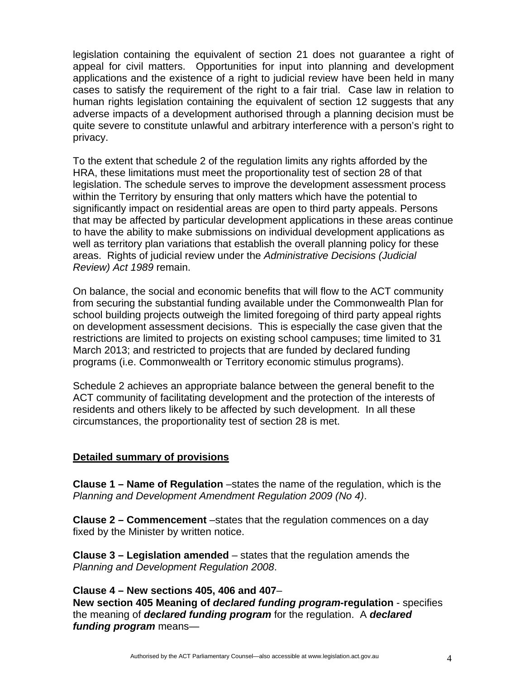legislation containing the equivalent of section 21 does not guarantee a right of appeal for civil matters. Opportunities for input into planning and development applications and the existence of a right to judicial review have been held in many cases to satisfy the requirement of the right to a fair trial. Case law in relation to human rights legislation containing the equivalent of section 12 suggests that any adverse impacts of a development authorised through a planning decision must be quite severe to constitute unlawful and arbitrary interference with a person's right to privacy.

To the extent that schedule 2 of the regulation limits any rights afforded by the HRA, these limitations must meet the proportionality test of section 28 of that legislation. The schedule serves to improve the development assessment process within the Territory by ensuring that only matters which have the potential to significantly impact on residential areas are open to third party appeals. Persons that may be affected by particular development applications in these areas continue to have the ability to make submissions on individual development applications as well as territory plan variations that establish the overall planning policy for these areas. Rights of judicial review under the *Administrative Decisions (Judicial Review) Act 1989* remain.

On balance, the social and economic benefits that will flow to the ACT community from securing the substantial funding available under the Commonwealth Plan for school building projects outweigh the limited foregoing of third party appeal rights on development assessment decisions. This is especially the case given that the restrictions are limited to projects on existing school campuses; time limited to 31 March 2013; and restricted to projects that are funded by declared funding programs (i.e. Commonwealth or Territory economic stimulus programs).

Schedule 2 achieves an appropriate balance between the general benefit to the ACT community of facilitating development and the protection of the interests of residents and others likely to be affected by such development. In all these circumstances, the proportionality test of section 28 is met.

### **Detailed summary of provisions**

**Clause 1 – Name of Regulation** –states the name of the regulation, which is the *Planning and Development Amendment Regulation 2009 (No 4)*.

**Clause 2 – Commencement** –states that the regulation commences on a day fixed by the Minister by written notice.

**Clause 3 – Legislation amended** – states that the regulation amends the *Planning and Development Regulation 2008*.

**Clause 4 – New sections 405, 406 and 407**–

**New section 405 Meaning of** *declared funding program***-regulation** - specifies the meaning of *declared funding program* for the regulation. A *declared funding program* means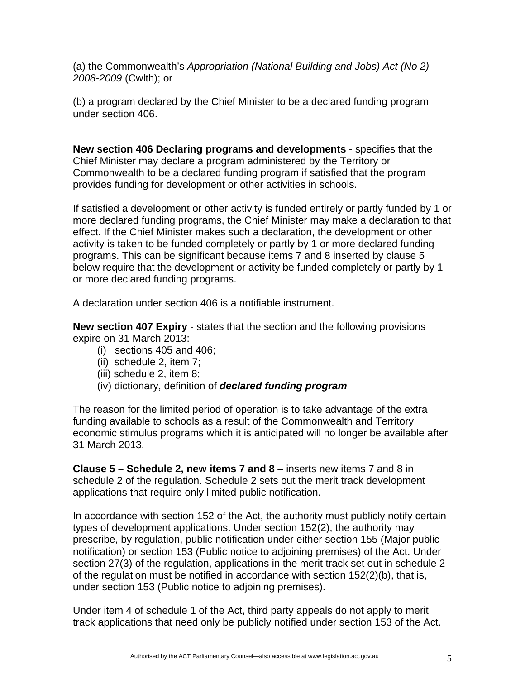(a) the Commonwealth's *Appropriation (National Building and Jobs) Act (No 2) 2008-2009* (Cwlth); or

(b) a program declared by the Chief Minister to be a declared funding program under section 406.

**New section 406 Declaring programs and developments** - specifies that the Chief Minister may declare a program administered by the Territory or Commonwealth to be a declared funding program if satisfied that the program provides funding for development or other activities in schools.

If satisfied a development or other activity is funded entirely or partly funded by 1 or more declared funding programs, the Chief Minister may make a declaration to that effect. If the Chief Minister makes such a declaration, the development or other activity is taken to be funded completely or partly by 1 or more declared funding programs. This can be significant because items 7 and 8 inserted by clause 5 below require that the development or activity be funded completely or partly by 1 or more declared funding programs.

A declaration under section 406 is a notifiable instrument.

**New section 407 Expiry** - states that the section and the following provisions expire on 31 March 2013:

- (i) sections 405 and 406;
- (ii) schedule 2, item 7;
- (iii) schedule 2, item 8;
- (iv) dictionary, definition of *declared funding program*

The reason for the limited period of operation is to take advantage of the extra funding available to schools as a result of the Commonwealth and Territory economic stimulus programs which it is anticipated will no longer be available after 31 March 2013.

**Clause 5 – Schedule 2, new items 7 and 8** – inserts new items 7 and 8 in schedule 2 of the regulation. Schedule 2 sets out the merit track development applications that require only limited public notification.

In accordance with section 152 of the Act, the authority must publicly notify certain types of development applications. Under section 152(2), the authority may prescribe, by regulation, public notification under either section 155 (Major public notification) or section 153 (Public notice to adjoining premises) of the Act. Under section 27(3) of the regulation, applications in the merit track set out in schedule 2 of the regulation must be notified in accordance with section 152(2)(b), that is, under section 153 (Public notice to adjoining premises).

Under item 4 of schedule 1 of the Act, third party appeals do not apply to merit track applications that need only be publicly notified under section 153 of the Act.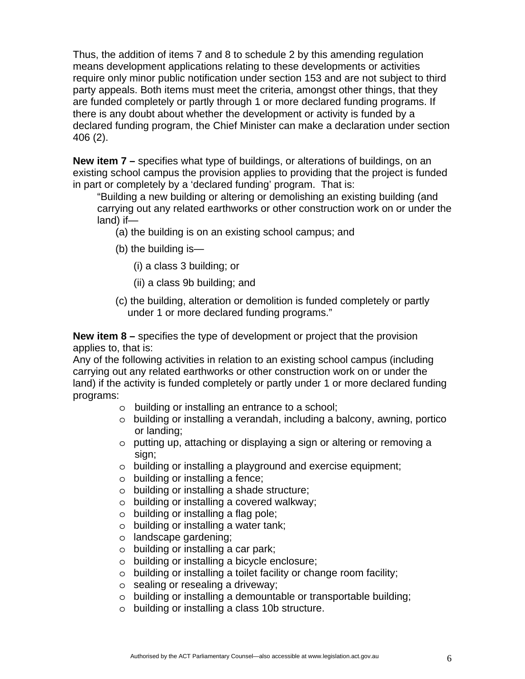Thus, the addition of items 7 and 8 to schedule 2 by this amending regulation means development applications relating to these developments or activities require only minor public notification under section 153 and are not subject to third party appeals. Both items must meet the criteria, amongst other things, that they are funded completely or partly through 1 or more declared funding programs. If there is any doubt about whether the development or activity is funded by a declared funding program, the Chief Minister can make a declaration under section 406 (2).

**New item 7 –** specifies what type of buildings, or alterations of buildings, on an existing school campus the provision applies to providing that the project is funded in part or completely by a 'declared funding' program. That is:

"Building a new building or altering or demolishing an existing building (and carrying out any related earthworks or other construction work on or under the land) if—

- (a) the building is on an existing school campus; and
- (b) the building is—
	- (i) a class 3 building; or
	- (ii) a class 9b building; and
- (c) the building, alteration or demolition is funded completely or partly under 1 or more declared funding programs."

**New item 8 –** specifies the type of development or project that the provision applies to, that is:

Any of the following activities in relation to an existing school campus (including carrying out any related earthworks or other construction work on or under the land) if the activity is funded completely or partly under 1 or more declared funding programs:

- o building or installing an entrance to a school;
- o building or installing a verandah, including a balcony, awning, portico or landing;
- o putting up, attaching or displaying a sign or altering or removing a sign;
- o building or installing a playground and exercise equipment;
- o building or installing a fence;
- o building or installing a shade structure;
- o building or installing a covered walkway;
- o building or installing a flag pole;
- o building or installing a water tank;
- o landscape gardening;
- o building or installing a car park;
- o building or installing a bicycle enclosure;
- o building or installing a toilet facility or change room facility;
- o sealing or resealing a driveway;
- o building or installing a demountable or transportable building;
- o building or installing a class 10b structure.